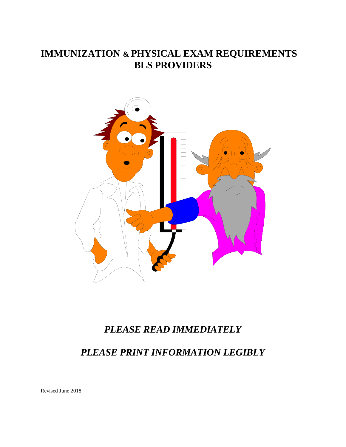# **IMMUNIZATION & PHYSICAL EXAM REQUIREMENTS BLS PROVIDERS**



## *PLEASE READ IMMEDIATELY*

*PLEASE PRINT INFORMATION LEGIBLY*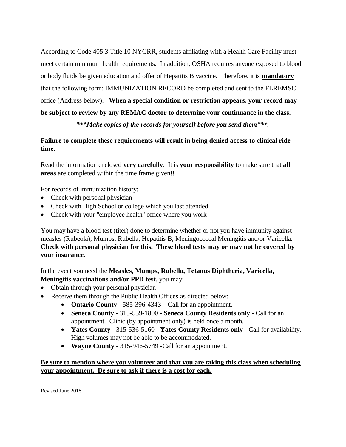According to Code 405.3 Title 10 NYCRR, students affiliating with a Health Care Facility must meet certain minimum health requirements. In addition, OSHA requires anyone exposed to blood or body fluids be given education and offer of Hepatitis B vaccine. Therefore, it is **mandatory** that the following form: IMMUNIZATION RECORD be completed and sent to the FLREMSC office (Address below). **When a special condition or restriction appears, your record may be subject to review by any REMAC doctor to determine your continuance in the class.**

*\*\*\*Make copies of the records for yourself before you send them\*\*\*.*

#### **Failure to complete these requirements will result in being denied access to clinical ride time.**

Read the information enclosed **very carefully**. It is **your responsibility** to make sure that **all areas** are completed within the time frame given!!

For records of immunization history:

- Check with personal physician
- Check with High School or college which you last attended
- Check with your "employee health" office where you work

You may have a blood test (titer) done to determine whether or not you have immunity against measles (Rubeola), Mumps, Rubella, Hepatitis B, Meningococcal Meningitis and/or Varicella. **Check with personal physician for this. These blood tests may or may not be covered by your insurance.**

In the event you need the **Measles, Mumps, Rubella, Tetanus Diphtheria, Varicella, Meningitis vaccinations and/or PPD test**, you may:

- Obtain through your personal physician
- Receive them through the Public Health Offices as directed below:
	- **Ontario County** 585-396-4343 Call for an appointment.
	- **Seneca County** 315-539-1800 **Seneca County Residents only** Call for an appointment. Clinic (by appointment only) is held once a month.
	- **Yates County** 315-536-5160 **Yates County Residents only** Call for availability. High volumes may not be able to be accommodated.
	- **Wayne County** 315-946-5749 -Call for an appointment.

#### **Be sure to mention where you volunteer and that you are taking this class when scheduling your appointment. Be sure to ask if there is a cost for each.**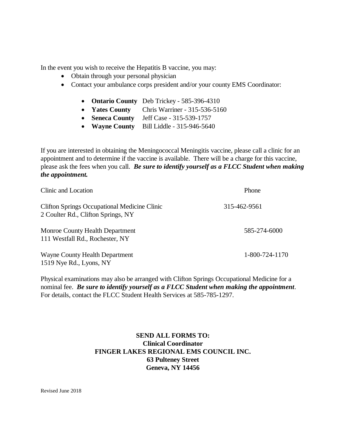In the event you wish to receive the Hepatitis B vaccine, you may:

- Obtain through your personal physician
- Contact your ambulance corps president and/or your county EMS Coordinator:
	- **Ontario County** Deb Trickey 585-396-4310
	- **Yates County** Chris Warriner 315-536-5160
	- **Seneca County** Jeff Case 315-539-1757
	- **Wayne County** Bill Liddle 315-946-5640

If you are interested in obtaining the Meningococcal Meningitis vaccine, please call a clinic for an appointment and to determine if the vaccine is available. There will be a charge for this vaccine, please ask the fees when you call. *Be sure to identify yourself as a FLCC Student when making the appointment.* 

| Clinic and Location                                                                       | Phone          |  |
|-------------------------------------------------------------------------------------------|----------------|--|
| <b>Clifton Springs Occupational Medicine Clinic</b><br>2 Coulter Rd., Clifton Springs, NY | 315-462-9561   |  |
| Monroe County Health Department<br>111 Westfall Rd., Rochester, NY                        | 585-274-6000   |  |
| Wayne County Health Department<br>1519 Nye Rd., Lyons, NY                                 | 1-800-724-1170 |  |

Physical examinations may also be arranged with Clifton Springs Occupational Medicine for a nominal fee. *Be sure to identify yourself as a FLCC Student when making the appointment*. For details, contact the FLCC Student Health Services at 585-785-1297.

#### **SEND ALL FORMS TO: Clinical Coordinator FINGER LAKES REGIONAL EMS COUNCIL INC. 63 Pulteney Street Geneva, NY 14456**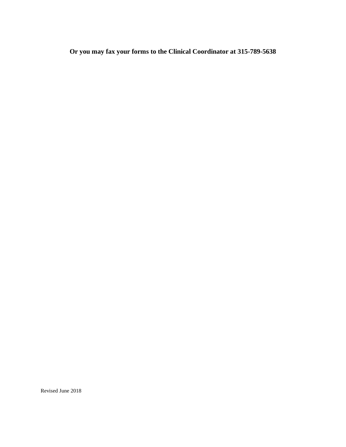**Or you may fax your forms to the Clinical Coordinator at 315-789-5638**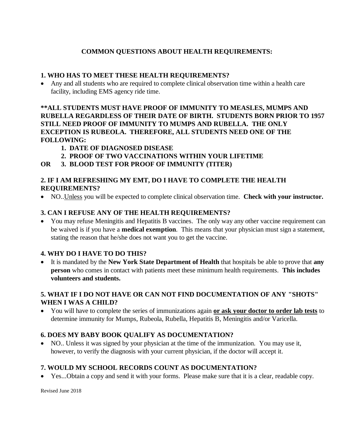### **COMMON QUESTIONS ABOUT HEALTH REQUIREMENTS:**

#### **1. WHO HAS TO MEET THESE HEALTH REQUIREMENTS?**

• Any and all students who are required to complete clinical observation time within a health care facility, including EMS agency ride time.

**\*\*ALL STUDENTS MUST HAVE PROOF OF IMMUNITY TO MEASLES, MUMPS AND RUBELLA REGARDLESS OF THEIR DATE OF BIRTH. STUDENTS BORN PRIOR TO 1957 STILL NEED PROOF OF IMMUNITY TO MUMPS AND RUBELLA. THE ONLY EXCEPTION IS RUBEOLA. THEREFORE, ALL STUDENTS NEED ONE OF THE FOLLOWING:**

- **1. DATE OF DIAGNOSED DISEASE**
- **2. PROOF OF TWO VACCINATIONS WITHIN YOUR LIFETIME**
- **OR 3. BLOOD TEST FOR PROOF OF IMMUNITY (TITER)**

#### **2. IF I AM REFRESHING MY EMT, DO I HAVE TO COMPLETE THE HEALTH REQUIREMENTS?**

• NO..Unless you will be expected to complete clinical observation time. **Check with your instructor.**

#### **3. CAN I REFUSE ANY OF THE HEALTH REQUIREMENTS?**

• You may refuse Meningitis and Hepatitis B vaccines. The only way any other vaccine requirement can be waived is if you have a **medical exemption**. This means that your physician must sign a statement, stating the reason that he/she does not want you to get the vaccine.

#### **4. WHY DO I HAVE TO DO THIS?**

• It is mandated by the **New York State Department of Health** that hospitals be able to prove that **any person** who comes in contact with patients meet these minimum health requirements. **This includes volunteers and students.**

#### **5. WHAT IF I DO NOT HAVE OR CAN NOT FIND DOCUMENTATION OF ANY "SHOTS" WHEN I WAS A CHILD?**

• You will have to complete the series of immunizations again **or ask your doctor to order lab tests** to determine immunity for Mumps, Rubeola, Rubella, Hepatitis B, Meningitis and/or Varicella.

#### **6. DOES MY BABY BOOK QUALIFY AS DOCUMENTATION?**

• NO.. Unless it was signed by your physician at the time of the immunization. You may use it, however, to verify the diagnosis with your current physician, if the doctor will accept it.

#### **7. WOULD MY SCHOOL RECORDS COUNT AS DOCUMENTATION?**

• Yes...Obtain a copy and send it with your forms. Please make sure that it is a clear, readable copy.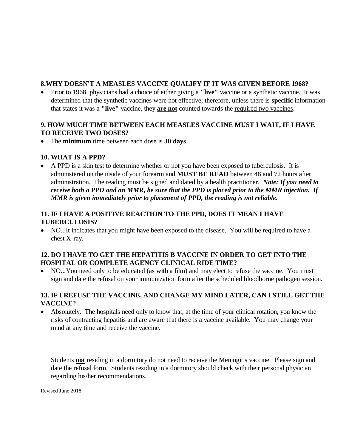#### **8.WHY DOESN'T A MEASLES VACCINE QUALIFY IF IT WAS GIVEN BEFORE 1968?**

• Prior to 1968, physicians had a choice of either giving a **"live"** vaccine or a synthetic vaccine. It was determined that the synthetic vaccines were not effective; therefore, unless there is **specific** information that states it was a **"live"** vaccine, they **are not** counted towards the required two vaccines.

#### **9. HOW MUCH TIME BETWEEN EACH MEASLES VACCINE MUST I WAIT, IF I HAVE TO RECEIVE TWO DOSES?**

• The **minimum** time between each dose is **30 days**.

#### **10. WHAT IS A PPD?**

• A PPD is a skin test to determine whether or not you have been exposed to tuberculosis. It is administered on the inside of your forearm and **MUST BE READ** between 48 and 72 hours after administration. The reading must be signed and dated by a health practitioner.*Note: If you need to receive both a PPD and an MMR, be sure that the PPD is placed prior to the MMR injection. If MMR is given immediately prior to placement of PPD, the reading is not reliable.*

#### **11. IF I HAVE A POSITIVE REACTION TO THE PPD, DOES IT MEAN I HAVE TUBERCULOSIS?**

• NO...It indicates that you might have been exposed to the disease. You will be required to have a chest X-ray.

### **12. DO I HAVE TO GET THE HEPATITIS B VACCINE IN ORDER TO GET INTO THE HOSPITAL OR COMPLETE AGENCY CLINICAL RIDE TIME?**

• NO...You need only to be educated (as with a film) and may elect to refuse the vaccine. You must sign and date the refusal on your immunization form after the scheduled bloodborne pathogen session.

### **13. IF I REFUSE THE VACCINE, AND CHANGE MY MIND LATER, CAN I STILL GET THE VACCINE?**

• Absolutely. The hospitals need only to know that, at the time of your clinical rotation, you know the risks of contracting hepatitis and are aware that there is a vaccine available. You may change your mind at any time and receive the vaccine.

Students **not** residing in a dormitory do not need to receive the Meningitis vaccine. Please sign and date the refusal form. Students residing in a dormitory should check with their personal physician regarding his/her recommendations.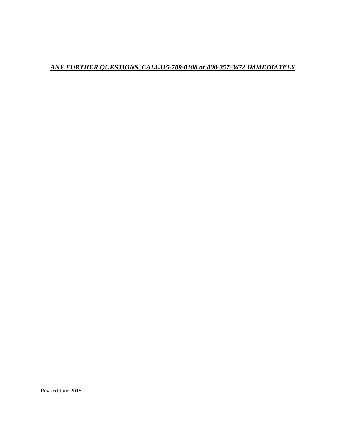## *ANY FURTHER QUESTIONS, CALL315-789-0108 or 800-357-3672 IMMEDIATELY*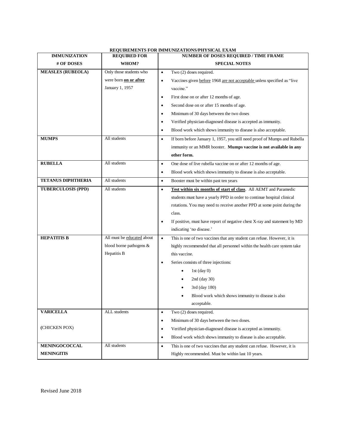| <b>IMMUNIZATION</b>       | <b>REQUIRED FOR</b>        | Requirements I on employments of intording emiting<br>NUMBER OF DOSES REQUIRED / TIME FRAME |  |  |
|---------------------------|----------------------------|---------------------------------------------------------------------------------------------|--|--|
| # OF DOSES                | WHOM?                      | <b>SPECIAL NOTES</b>                                                                        |  |  |
| <b>MEASLES (RUBEOLA)</b>  | Only those students who    | Two (2) doses required.<br>$\bullet$                                                        |  |  |
|                           | were born on or after      | Vaccines given before 1968 are not acceptable unless specified as "live<br>$\bullet$        |  |  |
|                           | January 1, 1957            | vaccine."                                                                                   |  |  |
|                           |                            | First dose on or after 12 months of age.<br>$\bullet$                                       |  |  |
|                           |                            | Second dose on or after 15 months of age.<br>$\bullet$                                      |  |  |
|                           |                            | Minimum of 30 days between the two doses<br>$\bullet$                                       |  |  |
|                           |                            | Verified physician-diagnosed disease is accepted as immunity.<br>$\bullet$                  |  |  |
|                           |                            | Blood work which shows immunity to disease is also acceptable.<br>$\bullet$                 |  |  |
| <b>MUMPS</b>              | All students               | If born before January 1, 1957, you still need proof of Mumps and Rubella<br>$\bullet$      |  |  |
|                           |                            | immunity or an MMR booster. Mumps vaccine is not available in any                           |  |  |
|                           |                            | other form.                                                                                 |  |  |
| <b>RUBELLA</b>            | All students               | One dose of live rubella vaccine on or after 12 months of age.<br>$\bullet$                 |  |  |
|                           |                            | Blood work which shows immunity to disease is also acceptable.<br>$\bullet$                 |  |  |
| <b>TETANUS DIPHTHERIA</b> | All students               | Booster must be within past ten years<br>$\bullet$                                          |  |  |
| <b>TUBERCULOSIS (PPD)</b> | All students               | Test within six months of start of class. All AEMT and Paramedic<br>$\bullet$               |  |  |
|                           |                            | students must have a yearly PPD in order to continue hospital clinical                      |  |  |
|                           |                            | rotations. You may need to receive another PPD at some point during the                     |  |  |
|                           |                            | class.                                                                                      |  |  |
|                           |                            | If positive, must have report of negative chest X-ray and statement by MD<br>$\bullet$      |  |  |
|                           |                            | indicating 'no disease.'                                                                    |  |  |
| <b>HEPATITIS B</b>        | All must be educated about | This is one of two vaccines that any student can refuse. However, it is<br>$\bullet$        |  |  |
|                           | blood borne pathogens &    | highly recommended that all personnel within the health care system take                    |  |  |
|                           | Hepatitis B                | this vaccine.                                                                               |  |  |
|                           |                            | Series consists of three injections:<br>$\bullet$                                           |  |  |
|                           |                            | 1st $(\text{day } 0)$                                                                       |  |  |
|                           |                            | $2nd$ (day 30)                                                                              |  |  |
|                           |                            | 3rd (day 180)                                                                               |  |  |
|                           |                            | Blood work which shows immunity to disease is also                                          |  |  |
|                           |                            | acceptable.                                                                                 |  |  |
| <b>VARICELLA</b>          | ALL students               | Two (2) doses required.<br>$\bullet$                                                        |  |  |
|                           |                            | Minimum of 30 days between the two doses.<br>$\bullet$                                      |  |  |
| (CHICKEN POX)             |                            | Verified physician-diagnosed disease is accepted as immunity.<br>$\bullet$                  |  |  |
|                           |                            | Blood work which shows immunity to disease is also acceptable.<br>$\bullet$                 |  |  |
| MENINGOCOCCAL             | All students               | This is one of two vaccines that any student can refuse. However, it is<br>$\bullet$        |  |  |
| <b>MENINGITIS</b>         |                            | Highly recommended. Must be within last 10 years.                                           |  |  |

#### **REQUIREMENTS FOR IMMUNIZATIONS/PHYSICAL EXAM**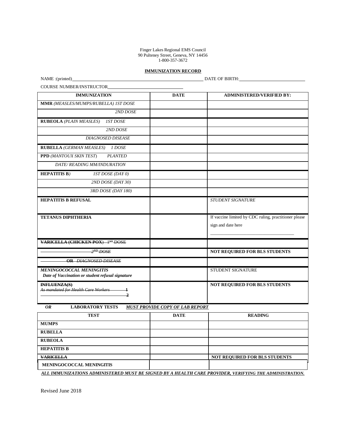Finger Lakes Regional EMS Council 90 Pulteney Street, Geneva, NY 14456 1-800-357-3672

#### **IMMUNIZATION RECORD**

NAME :(printed) DATE OF BIRTH:

COURSE NUMBER/INSTRUCTOR

| <b>IMMUNIZATION</b>                                 | <b>DATE</b> | <b>ADMINISTERED/VERIFIED BY:</b>                      |
|-----------------------------------------------------|-------------|-------------------------------------------------------|
| MMR (MEASLES/MUMPS/RUBELLA) IST DOSE                |             |                                                       |
| 2ND DOSE                                            |             |                                                       |
| <b>IST DOSE</b><br><b>RUBEOLA</b> (PLAIN MEASLES)   |             |                                                       |
| 2ND DOSE                                            |             |                                                       |
| <b>DIAGNOSED DISEASE</b>                            |             |                                                       |
| <b>RUBELLA</b> (GERMAN MEASLES)<br>1 DOSE           |             |                                                       |
| PPD (MANTOUX SKIN TEST)<br><b>PLANTED</b>           |             |                                                       |
| DATE/READING MM/INDURATION                          |             |                                                       |
| <b>HEPATITIS B)</b><br><b>IST DOSE (DAY 0)</b>      |             |                                                       |
| 2ND DOSE (DAY 30)                                   |             |                                                       |
| 3RD DOSE (DAY 180)                                  |             |                                                       |
| <b>HEPATITIS B REFUSAL</b>                          |             | <b>STUDENT SIGNATURE</b>                              |
|                                                     |             |                                                       |
| <b>TETANUS DIPHTHERIA</b>                           |             | If vaccine limited by CDC ruling, practitioner please |
|                                                     |             | sign and date here                                    |
|                                                     |             |                                                       |
| <b>VARICELLA (CHICKEN POX)</b> 1 <sup>ST</sup> DOSE |             |                                                       |
| $\overline{2^{ND}}$ DOSE                            |             | <b>NOT REQUIRED FOR BLS STUDENTS</b>                  |
| <b>OR</b> DIAGNOSED DISEASE                         |             |                                                       |
| <b>MENINGOCOCCAL MENINGITIS</b>                     |             | STUDENT SIGNATURE                                     |
| Date of Vaccination or student refusal signature    |             |                                                       |
| INFLUENZA(S)<br>As mandated for Health Care Workers |             | <b>NOT REQUIRED FOR BLS STUDENTS</b>                  |
| <sup>1</sup>                                        |             |                                                       |
|                                                     |             |                                                       |

 *OR* **LABORATORY TESTS** *MUST PROVIDE COPY OF LAB REPORT*

| <b>TEST</b>                                                                                            | <b>DATE</b> | <b>READING</b>                       |  |  |
|--------------------------------------------------------------------------------------------------------|-------------|--------------------------------------|--|--|
| <b>MUMPS</b>                                                                                           |             |                                      |  |  |
| <b>RUBELLA</b>                                                                                         |             |                                      |  |  |
| <b>RUBEOLA</b>                                                                                         |             |                                      |  |  |
| <b>HEPATITIS B</b>                                                                                     |             |                                      |  |  |
| <b>VARICELLA</b>                                                                                       |             | <b>NOT REQUIRED FOR BLS STUDENTS</b> |  |  |
| <b>MENINGOCOCCAL MENINGITIS</b>                                                                        |             |                                      |  |  |
| ALL IMMUNIZATIONS ADMINISTERED MUST BE SIGNED BY A HEALTH CARE PROVIDER. VERIFYING THE ADMINISTRATION. |             |                                      |  |  |